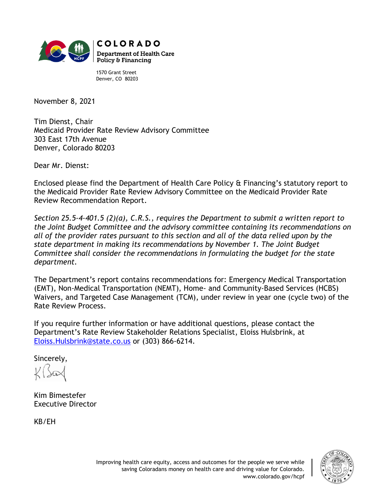

1570 Grant Street Denver, CO 80203

November 8, 2021

Tim Dienst, Chair Medicaid Provider Rate Review Advisory Committee 303 East 17th Avenue Denver, Colorado 80203

Dear Mr. Dienst:

Enclosed please find the Department of Health Care Policy & Financing's statutory report to the Medicaid Provider Rate Review Advisory Committee on the Medicaid Provider Rate Review Recommendation Report.

*Section 25.5-4-401.5 (2)(a), C.R.S., requires the Department to submit a written report to the Joint Budget Committee and the advisory committee containing its recommendations on all of the provider rates pursuant to this section and all of the data relied upon by the state department in making its recommendations by November 1. The Joint Budget Committee shall consider the recommendations in formulating the budget for the state department.*

The Department's report contains recommendations for: Emergency Medical Transportation (EMT), Non-Medical Transportation (NEMT), Home- and Community-Based Services (HCBS) Waivers, and Targeted Case Management (TCM), under review in year one (cycle two) of the Rate Review Process.

If you require further information or have additional questions, please contact the Department's Rate Review Stakeholder Relations Specialist, Eloiss Hulsbrink, at [Eloiss.Hulsbrink@state.co.us](mailto:Eloiss.Hulsbrink@state.co.us) or (303) 866-6214.

Sincerely,

Kim Bimestefer Executive Director

KB/EH

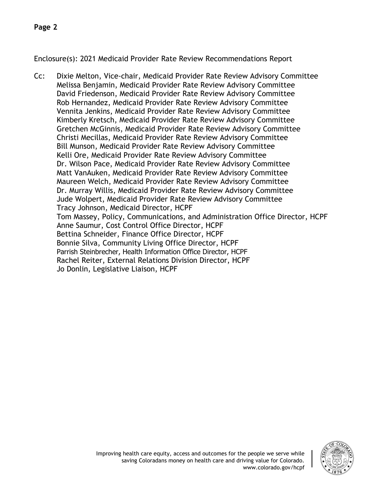#### **Page 2**

Enclosure(s): 2021 Medicaid Provider Rate Review Recommendations Report

Cc: Dixie Melton, Vice-chair, Medicaid Provider Rate Review Advisory Committee Melissa Benjamin, Medicaid Provider Rate Review Advisory Committee David Friedenson, Medicaid Provider Rate Review Advisory Committee Rob Hernandez, Medicaid Provider Rate Review Advisory Committee Vennita Jenkins, Medicaid Provider Rate Review Advisory Committee Kimberly Kretsch, Medicaid Provider Rate Review Advisory Committee Gretchen McGinnis, Medicaid Provider Rate Review Advisory Committee Christi Mecillas, Medicaid Provider Rate Review Advisory Committee Bill Munson, Medicaid Provider Rate Review Advisory Committee Kelli Ore, Medicaid Provider Rate Review Advisory Committee Dr. Wilson Pace, Medicaid Provider Rate Review Advisory Committee Matt VanAuken, Medicaid Provider Rate Review Advisory Committee Maureen Welch, Medicaid Provider Rate Review Advisory Committee Dr. Murray Willis, Medicaid Provider Rate Review Advisory Committee Jude Wolpert, Medicaid Provider Rate Review Advisory Committee Tracy Johnson, Medicaid Director, HCPF Tom Massey, Policy, Communications, and Administration Office Director, HCPF Anne Saumur, Cost Control Office Director, HCPF Bettina Schneider, Finance Office Director, HCPF Bonnie Silva, Community Living Office Director, HCPF Parrish Steinbrecher, Health Information Office Director, HCPF Rachel Reiter, External Relations Division Director, HCPF Jo Donlin, Legislative Liaison, HCPF

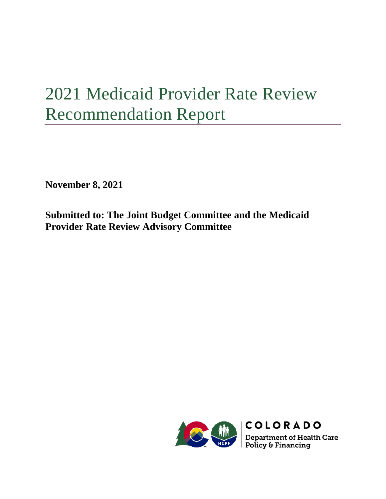# 2021 Medicaid Provider Rate Review Recommendation Report

**November 8, 2021**

**Submitted to: The Joint Budget Committee and the Medicaid Provider Rate Review Advisory Committee**

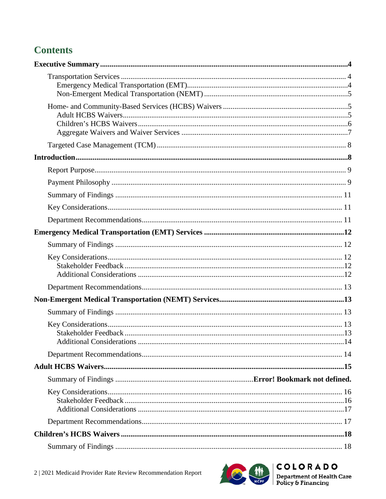# **Contents**



COLORADO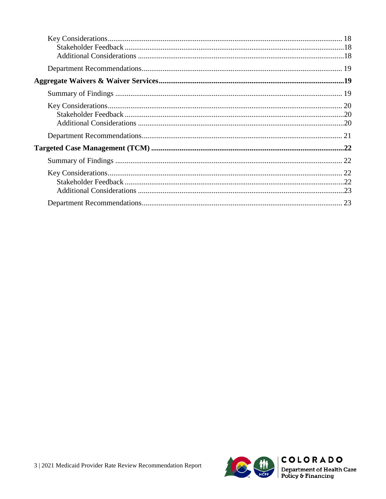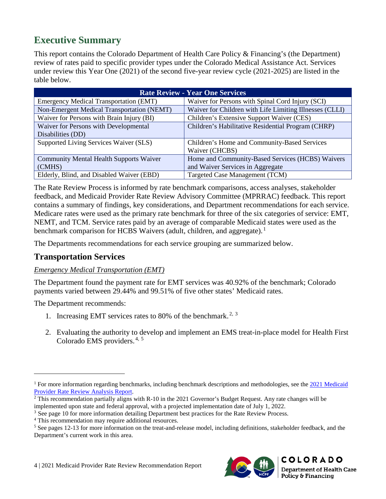# <span id="page-5-0"></span>**Executive Summary**

This report contains the Colorado Department of Health Care Policy & Financing's (the Department) review of rates paid to specific provider types under the Colorado Medical Assistance Act. Services under review this Year One (2021) of the second five-year review cycle (2021-2025) are listed in the table below.

| <b>Rate Review - Year One Services</b>         |                                                         |  |
|------------------------------------------------|---------------------------------------------------------|--|
| <b>Emergency Medical Transportation (EMT)</b>  | Waiver for Persons with Spinal Cord Injury (SCI)        |  |
| Non-Emergent Medical Transportation (NEMT)     | Waiver for Children with Life Limiting Illnesses (CLLI) |  |
| Waiver for Persons with Brain Injury (BI)      | Children's Extensive Support Waiver (CES)               |  |
| Waiver for Persons with Developmental          | Children's Habilitative Residential Program (CHRP)      |  |
| Disabilities (DD)                              |                                                         |  |
| Supported Living Services Waiver (SLS)         | Children's Home and Community-Based Services            |  |
|                                                | Waiver (CHCBS)                                          |  |
| <b>Community Mental Health Supports Waiver</b> | Home and Community-Based Services (HCBS) Waivers        |  |
| (CMHS)                                         | and Waiver Services in Aggregate                        |  |
| Elderly, Blind, and Disabled Waiver (EBD)      | Targeted Case Management (TCM)                          |  |

The Rate Review Process is informed by rate benchmark comparisons, access analyses, stakeholder feedback, and Medicaid Provider Rate Review Advisory Committee (MPRRAC) feedback. This report contains a summary of findings, key considerations, and Department recommendations for each service. Medicare rates were used as the primary rate benchmark for three of the six categories of service: EMT, NEMT, and TCM. Service rates paid by an average of comparable Medicaid states were used as the benchmark comparison for HCBS Waivers (adult, children, and aggregate).<sup>[1](#page-5-3)</sup>

The Departments recommendations for each service grouping are summarized below.

#### <span id="page-5-1"></span>**Transportation Services**

#### <span id="page-5-2"></span>*Emergency Medical Transportation (EMT)*

The Department found the payment rate for EMT services was 40.92% of the benchmark; Colorado payments varied between 29.44% and 99.51% of five other states' Medicaid rates.

The Department recommends:

- 1. Increasing EMT services rates to 80% of the benchmark.<sup>[2](#page-5-4), [3](#page-5-5)</sup>
- 2. Evaluating the authority to develop and implement an EMS treat-in-place model for Health First Colorado EMS providers. [4,](#page-5-6) [5](#page-5-7)



<span id="page-5-3"></span><sup>&</sup>lt;sup>1</sup> For more information regarding benchmarks, including benchmark descriptions and methodologies, see the  $2021$  Medicaid Provider Rate Review Analysis Report.

<span id="page-5-4"></span> $\frac{1}{2}$ This recommendation partially aligns with R-10 in the 2021 Governor's Budget Request. Any rate changes will be implemented upon state and federal approval, with a projected implementation date of July 1, 2022.

<span id="page-5-5"></span><sup>&</sup>lt;sup>3</sup> See page 10 for more information detailing Department best practices for the Rate Review Process.

<span id="page-5-6"></span><sup>4</sup> This recommendation may require additional resources.

<span id="page-5-7"></span><sup>&</sup>lt;sup>5</sup> See pages 12-13 for more information on the treat-and-release model, including definitions, stakeholder feedback, and the Department's current work in this area.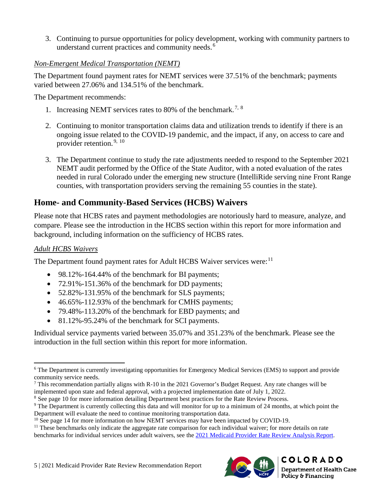3. Continuing to pursue opportunities for policy development, working with community partners to understand current practices and community needs.<sup>[6](#page-6-3)</sup>

#### <span id="page-6-0"></span>*Non-Emergent Medical Transportation (NEMT)*

The Department found payment rates for NEMT services were 37.51% of the benchmark; payments varied between 27.06% and 134.51% of the benchmark.

The Department recommends:

- 1. Increasing NEMT services rates to 80% of the benchmark.<sup>[7,](#page-6-4) [8](#page-6-5)</sup>
- 2. Continuing to monitor transportation claims data and utilization trends to identify if there is an ongoing issue related to the COVID-19 pandemic, and the impact, if any, on access to care and provider retention. [9](#page-6-6), [10](#page-6-7)
- 3. The Department continue to study the rate adjustments needed to respond to the September 2021 NEMT audit performed by the Office of the State Auditor, with a noted evaluation of the rates needed in rural Colorado under the emerging new structure (IntelliRide serving nine Front Range counties, with transportation providers serving the remaining 55 counties in the state).

### <span id="page-6-1"></span>**Home- and Community-Based Services (HCBS) Waivers**

Please note that HCBS rates and payment methodologies are notoriously hard to measure, analyze, and compare. Please see the introduction in the HCBS section within this report for more information and background, including information on the sufficiency of HCBS rates.

#### <span id="page-6-2"></span>*Adult HCBS Waivers*

The Department found payment rates for Adult HCBS Waiver services were:<sup>[11](#page-6-8)</sup>

- 98.12%-164.44% of the benchmark for BI payments;
- 72.91%-151.36% of the benchmark for DD payments;
- 52.82%-131.95% of the benchmark for SLS payments;
- 46.65%-112.93% of the benchmark for CMHS payments;
- 79.48%-113.20% of the benchmark for EBD payments; and
- 81.12%-95.24% of the benchmark for SCI payments.

Individual service payments varied between 35.07% and 351.23% of the benchmark. Please see the introduction in the full section within this report for more information.



<span id="page-6-3"></span> $\overline{a}$ <sup>6</sup> The Department is currently investigating opportunities for Emergency Medical Services (EMS) to support and provide community service needs.

<span id="page-6-4"></span><sup>&</sup>lt;sup>7</sup> This recommendation partially aligns with R-10 in the 2021 Governor's Budget Request. Any rate changes will be implemented upon state and federal approval, with a projected implementation date of July 1, 2022.

<span id="page-6-5"></span><sup>8</sup> See page 10 for more information detailing Department best practices for the Rate Review Process.

<span id="page-6-6"></span><sup>&</sup>lt;sup>9</sup> The Department is currently collecting this data and will monitor for up to a minimum of 24 months, at which point the Department will evaluate the need to continue monitoring transportation data.

<span id="page-6-7"></span><sup>&</sup>lt;sup>10</sup> See page 14 for more information on how NEMT services may have been impacted by COVID-19.

<span id="page-6-8"></span> $<sup>11</sup>$  These benchmarks only indicate the aggregate rate comparison for each individual waiver; for more details on rate</sup> benchmarks for individual services under adult waivers, see the [2021 Medicaid Provider Rate Review Analysis Report.](https://hcpf.colorado.gov/sites/hcpf/files/2021MPRRAR_websiteversion_mainreport_June2021.pdf)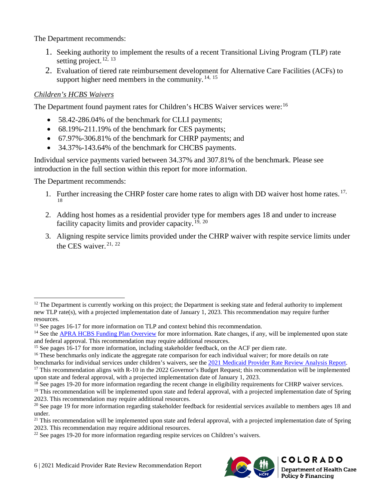The Department recommends:

- 1. Seeking authority to implement the results of a recent Transitional Living Program (TLP) rate setting project.  $12, 13$  $12, 13$  $12, 13$
- 2. Evaluation of tiered rate reimbursement development for Alternative Care Facilities (ACFs) to support higher need members in the community. <sup>[14](#page-7-3), [15](#page-7-4)</sup>

#### <span id="page-7-0"></span>*Children's HCBS Waivers*

The Department found payment rates for Children's HCBS Waiver services were: [16](#page-7-5)

- 58.42-286.04% of the benchmark for CLLI payments;
- 68.19%-211.19% of the benchmark for CES payments;
- 67.97%-306.81% of the benchmark for CHRP payments; and
- 34.37%-143.64% of the benchmark for CHCBS payments.

Individual service payments varied between 34.37% and 307.81% of the benchmark. Please see introduction in the full section within this report for more information.

The Department recommends:

 $\overline{a}$ 

- 1. Further increasing the CHRP foster care home rates to align with DD waiver host home rates.<sup>[17](#page-7-6),</sup> [18](#page-7-7)
- 2. Adding host homes as a residential provider type for members ages 18 and under to increase facility capacity limits and provider capacity.<sup>[19](#page-7-8), [20](#page-7-9)</sup>
- 3. Aligning respite service limits provided under the CHRP waiver with respite service limits under the CES waiver.<sup>[21](#page-7-10), [22](#page-7-11)</sup>



<span id="page-7-1"></span> $12$  The Department is currently working on this project; the Department is seeking state and federal authority to implement new TLP rate(s), with a projected implementation date of January 1, 2023. This recommendation may require further resources.

<span id="page-7-2"></span><sup>&</sup>lt;sup>13</sup> See pages 16-17 for more information on TLP and context behind this recommendation.

<span id="page-7-3"></span><sup>&</sup>lt;sup>14</sup> See th[e APRA HCBS Funding Plan Overview](https://hcpf.colorado.gov/arpa) for more information. Rate changes, if any, will be implemented upon state and federal approval. This recommendation may require additional resources.

<span id="page-7-4"></span><sup>&</sup>lt;sup>15</sup> See pages 16-17 for more information, including stakeholder feedback, on the ACF per diem rate.

<span id="page-7-5"></span><sup>&</sup>lt;sup>16</sup> These benchmarks only indicate the aggregate rate comparison for each individual waiver; for more details on rate benchmarks for individual services under children's waivers, see the [2021 Medicaid Provider Rate Review Analysis Report.](https://hcpf.colorado.gov/sites/hcpf/files/2021MPRRAR_websiteversion_mainreport_June2021.pdf)

<span id="page-7-6"></span><sup>&</sup>lt;sup>17</sup> This recommendation aligns with R-10 in the 2022 Governor's Budget Request; this recommendation will be implemented upon state and federal approval, with a projected implementation date of January 1, 2023.

<span id="page-7-7"></span> $18$  See pages 19-20 for more information regarding the recent change in eligibility requirements for CHRP waiver services.

<span id="page-7-8"></span> $19$  This recommendation will be implemented upon state and federal approval, with a projected implementation date of Spring 2023. This recommendation may require additional resources.

<span id="page-7-9"></span> $20$  See page 19 for more information regarding stakeholder feedback for residential services available to members ages 18 and under.

<span id="page-7-10"></span><sup>&</sup>lt;sup>21</sup> This recommendation will be implemented upon state and federal approval, with a projected implementation date of Spring 2023. This recommendation may require additional resources.

<span id="page-7-11"></span> $^{22}$  See pages 19-20 for more information regarding respite services on Children's waivers.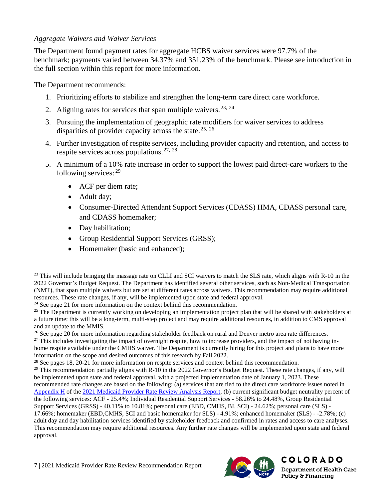#### <span id="page-8-0"></span>*Aggregate Waivers and Waiver Services*

The Department found payment rates for aggregate HCBS waiver services were 97.7% of the benchmark; payments varied between 34.37% and 351.23% of the benchmark. Please see introduction in the full section within this report for more information.

The Department recommends:

- 1. Prioritizing efforts to stabilize and strengthen the long-term care direct care workforce.
- 2. Aligning rates for services that span multiple waivers.  $23, 24$  $23, 24$  $23, 24$
- 3. Pursuing the implementation of geographic rate modifiers for waiver services to address disparities of provider capacity across the state.  $25, 26$  $25, 26$  $25, 26$
- 4. Further investigation of respite services, including provider capacity and retention, and access to respite services across populations.  $27, 28$  $27, 28$  $27, 28$
- 5. A minimum of a 10% rate increase in order to support the lowest paid direct-care workers to the following services: [29](#page-8-7)
	- ACF per diem rate;
	- Adult day;

- Consumer-Directed Attendant Support Services (CDASS) HMA, CDASS personal care, and CDASS homemaker;
- Day habilitation;
- Group Residential Support Services (GRSS);
- Homemaker (basic and enhanced);

<span id="page-8-2"></span> $24$  See page 21 for more information on the context behind this recommendation.



<span id="page-8-1"></span> $^{23}$  This will include bringing the massage rate on CLLI and SCI waivers to match the SLS rate, which aligns with R-10 in the 2022 Governor's Budget Request. The Department has identified several other services, such as Non-Medical Transportation (NMT), that span multiple waivers but are set at different rates across waivers. This recommendation may require additional resources. These rate changes, if any, will be implemented upon state and federal approval.

<span id="page-8-3"></span><sup>&</sup>lt;sup>25</sup> The Department is currently working on developing an implementation project plan that will be shared with stakeholders at a future time; this will be a long-term, multi-step project and may require additional resources, in addition to CMS approval

<span id="page-8-4"></span> $26$  See page 20 for more information regarding stakeholder feedback on rural and Denver metro area rate differences.

<span id="page-8-5"></span> $27$  This includes investigating the impact of overnight respite, how to increase providers, and the impact of not having inhome respite available under the CMHS waiver. The Department is currently hiring for this project and plans to have more information on the scope and desired outcomes of this research by Fall 2022.

<span id="page-8-6"></span><sup>&</sup>lt;sup>28</sup> See pages 18, 20-21 for more information on respite services and context behind this recommendation.

<span id="page-8-7"></span> $29$  This recommendation partially aligns with R-10 in the 2022 Governor's Budget Request. These rate changes, if any, will be implemented upon state and federal approval, with a projected implementation date of January 1, 2023. These recommended rate changes are based on the following: (a) services that are tied to the direct care workforce issues noted in [Appendix H](https://hcpf.colorado.gov/sites/hcpf/files/AppendixH_2021MPRRAR_FinalDraft_14June2021.pdf) of the [2021 Medicaid Provider Rate Review Analysis Report;](https://hcpf.colorado.gov/sites/hcpf/files/2021MPRRAR_websiteversion_mainreport_June2021.pdf) (b) current significant budget neutrality percent of the following services: ACF - 25.4%; Individual Residential Support Services - 58.26% to 24.48%, Group Residential Support Services (GRSS) - 40.11% to 10.81%; personal care (EBD, CMHS, BI, SCI) - 24.62%; personal care (SLS) - 17.66%; homemaker (EBD,CMHS, SCI and basic homemaker for SLS) - 4.91%; enhanced homemaker (SLS) - -2.78%; (c) adult day and day habilitation services identified by stakeholder feedback and confirmed in rates and access to care analyses. This recommendation may require additional resources. Any further rate changes will be implemented upon state and federal approval.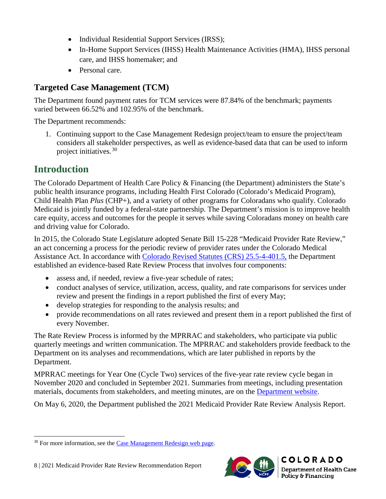- Individual Residential Support Services (IRSS);
- In-Home Support Services (IHSS) Health Maintenance Activities (HMA), IHSS personal care, and IHSS homemaker; and
- Personal care.

# <span id="page-9-0"></span>**Targeted Case Management (TCM)**

The Department found payment rates for TCM services were 87.84% of the benchmark; payments varied between 66.52% and 102.95% of the benchmark.

The Department recommends:

1. Continuing support to the Case Management Redesign project/team to ensure the project/team considers all stakeholder perspectives, as well as evidence-based data that can be used to inform project initiatives.<sup>[30](#page-9-2)</sup>

# <span id="page-9-1"></span>**Introduction**

 $\overline{a}$ 

The Colorado Department of Health Care Policy & Financing (the Department) administers the State's public health insurance programs, including Health First Colorado (Colorado's Medicaid Program), Child Health Plan *Plus* (CHP+), and a variety of other programs for Coloradans who qualify. Colorado Medicaid is jointly funded by a federal-state partnership. The Department's mission is to improve health care equity, access and outcomes for the people it serves while saving Coloradans money on health care and driving value for Colorado.

In 2015, the Colorado State Legislature adopted Senate Bill 15-228 "Medicaid Provider Rate Review," an act concerning a process for the periodic review of provider rates under the Colorado Medical Assistance Act. In accordance with [Colorado Revised Statutes \(CRS\) 25.5-4-401.5,](https://advance.lexis.com/container?config=0345494EJAA5ZjE0MDIyYy1kNzZkLTRkNzktYTkxMS04YmJhNjBlNWUwYzYKAFBvZENhdGFsb2e4CaPI4cak6laXLCWyLBO9&crid=0dddc355-b989-40dd-9153-f1e1648f0e2b) the Department established an evidence-based Rate Review Process that involves four components:

- assess and, if needed, review a five-year schedule of rates;
- conduct analyses of service, utilization, access, quality, and rate comparisons for services under review and present the findings in a report published the first of every May;
- develop strategies for responding to the analysis results; and
- provide recommendations on all rates reviewed and present them in a report published the first of every November.

The Rate Review Process is informed by the MPRRAC and stakeholders, who participate via public quarterly meetings and written communication. The MPRRAC and stakeholders provide feedback to the Department on its analyses and recommendations, which are later published in reports by the Department.

MPRRAC meetings for Year One (Cycle Two) services of the five-year rate review cycle began in November 2020 and concluded in September 2021. Summaries from meetings, including presentation materials, documents from stakeholders, and meeting minutes, are on the [Department website.](https://www.colorado.gov/pacific/hcpf/rate-review)

On May 6, 2020, the Department published the 2021 Medicaid Provider Rate Review Analysis Report.



<span id="page-9-2"></span><sup>&</sup>lt;sup>30</sup> For more information, see th[e Case Management Redesign web page.](https://hcpf.colorado.gov/case-management-redesign)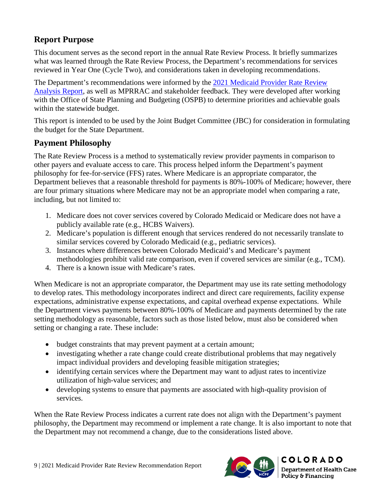# <span id="page-10-0"></span>**Report Purpose**

This document serves as the second report in the annual Rate Review Process. It briefly summarizes what was learned through the Rate Review Process, the Department's recommendations for services reviewed in Year One (Cycle Two), and considerations taken in developing recommendations.

The Department's recommendations were informed by the [2021 Medicaid Provider Rate Review](https://hcpf.colorado.gov/sites/hcpf/files/2021MPRRAR_websiteversion_mainreport_June2021.pdf)  [Analysis Report,](https://hcpf.colorado.gov/sites/hcpf/files/2021MPRRAR_websiteversion_mainreport_June2021.pdf) as well as MPRRAC and stakeholder feedback. They were developed after working with the Office of State Planning and Budgeting (OSPB) to determine priorities and achievable goals within the statewide budget.

This report is intended to be used by the Joint Budget Committee (JBC) for consideration in formulating the budget for the State Department.

# <span id="page-10-1"></span>**Payment Philosophy**

The Rate Review Process is a method to systematically review provider payments in comparison to other payers and evaluate access to care. This process helped inform the Department's payment philosophy for fee-for-service (FFS) rates. Where Medicare is an appropriate comparator, the Department believes that a reasonable threshold for payments is 80%-100% of Medicare; however, there are four primary situations where Medicare may not be an appropriate model when comparing a rate, including, but not limited to:

- 1. Medicare does not cover services covered by Colorado Medicaid or Medicare does not have a publicly available rate (e.g., HCBS Waivers).
- 2. Medicare's population is different enough that services rendered do not necessarily translate to similar services covered by Colorado Medicaid (e.g., pediatric services).
- 3. Instances where differences between Colorado Medicaid's and Medicare's payment methodologies prohibit valid rate comparison, even if covered services are similar (e.g., TCM).
- 4. There is a known issue with Medicare's rates.

When Medicare is not an appropriate comparator, the Department may use its rate setting methodology to develop rates. This methodology incorporates indirect and direct care requirements, facility expense expectations, administrative expense expectations, and capital overhead expense expectations. While the Department views payments between 80%-100% of Medicare and payments determined by the rate setting methodology as reasonable, factors such as those listed below, must also be considered when setting or changing a rate. These include:

- budget constraints that may prevent payment at a certain amount;
- investigating whether a rate change could create distributional problems that may negatively impact individual providers and developing feasible mitigation strategies;
- identifying certain services where the Department may want to adjust rates to incentivize utilization of high-value services; and
- developing systems to ensure that payments are associated with high-quality provision of services.

When the Rate Review Process indicates a current rate does not align with the Department's payment philosophy, the Department may recommend or implement a rate change. It is also important to note that the Department may not recommend a change, due to the considerations listed above.

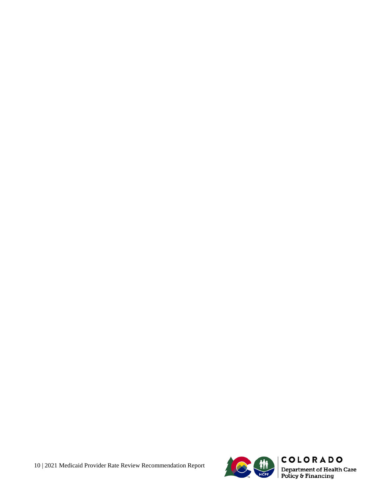10 | 2021 Medicaid Provider Rate Review Recommendation Report

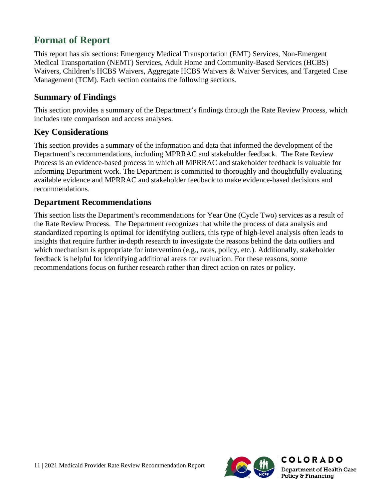# **Format of Report**

This report has six sections: Emergency Medical Transportation (EMT) Services, Non-Emergent Medical Transportation (NEMT) Services, Adult Home and Community-Based Services (HCBS) Waivers, Children's HCBS Waivers, Aggregate HCBS Waivers & Waiver Services, and Targeted Case Management (TCM). Each section contains the following sections.

# <span id="page-12-0"></span>**Summary of Findings**

This section provides a summary of the Department's findings through the Rate Review Process, which includes rate comparison and access analyses.

### <span id="page-12-1"></span>**Key Considerations**

This section provides a summary of the information and data that informed the development of the Department's recommendations, including MPRRAC and stakeholder feedback. The Rate Review Process is an evidence-based process in which all MPRRAC and stakeholder feedback is valuable for informing Department work. The Department is committed to thoroughly and thoughtfully evaluating available evidence and MPRRAC and stakeholder feedback to make evidence-based decisions and recommendations.

### <span id="page-12-2"></span>**Department Recommendations**

This section lists the Department's recommendations for Year One (Cycle Two) services as a result of the Rate Review Process. The Department recognizes that while the process of data analysis and standardized reporting is optimal for identifying outliers, this type of high-level analysis often leads to insights that require further in-depth research to investigate the reasons behind the data outliers and which mechanism is appropriate for intervention (e.g., rates, policy, etc.). Additionally, stakeholder feedback is helpful for identifying additional areas for evaluation. For these reasons, some recommendations focus on further research rather than direct action on rates or policy.

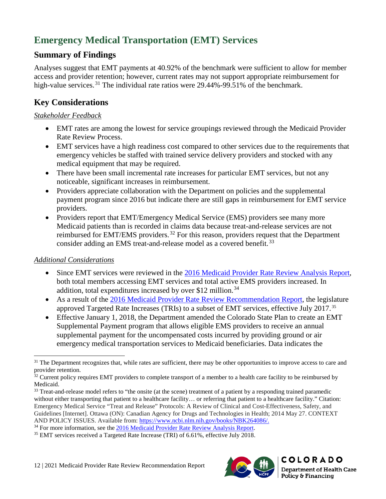# <span id="page-13-0"></span>**Emergency Medical Transportation (EMT) Services**

### <span id="page-13-1"></span>**Summary of Findings**

Analyses suggest that EMT payments at 40.92% of the benchmark were sufficient to allow for member access and provider retention; however, current rates may not support appropriate reimbursement for high-value services.<sup>[31](#page-13-5)</sup> The individual rate ratios were 29.44%-99.51% of the benchmark.

# <span id="page-13-2"></span>**Key Considerations**

#### <span id="page-13-3"></span>*Stakeholder Feedback*

- EMT rates are among the lowest for service groupings reviewed through the Medicaid Provider Rate Review Process.
- EMT services have a high readiness cost compared to other services due to the requirements that emergency vehicles be staffed with trained service delivery providers and stocked with any medical equipment that may be required.
- There have been small incremental rate increases for particular EMT services, but not any noticeable, significant increases in reimbursement.
- Providers appreciate collaboration with the Department on policies and the supplemental payment program since 2016 but indicate there are still gaps in reimbursement for EMT service providers.
- Providers report that EMT/Emergency Medical Service (EMS) providers see many more Medicaid patients than is recorded in claims data because treat-and-release services are not reimbursed for EMT/EMS providers. [32](#page-13-6) For this reason, providers request that the Department consider adding an EMS treat-and-release model as a covered benefit.<sup>[33](#page-13-7)</sup>

#### <span id="page-13-4"></span>*Additional Considerations*

- Since EMT services were reviewed in the [2016 Medicaid Provider Rate Review Analysis Report,](https://hcpf.colorado.gov/sites/hcpf/files/2016%20Medicaid%20Provider%20Rate%20Review%20Analysis%20Report_0.pdf) both total members accessing EMT services and total active EMS providers increased. In addition, total expenditures increased by over \$12 million.<sup>[34](#page-13-8)</sup>
- As a result of the [2016 Medicaid Provider Rate Review Recommendation Report,](https://hcpf.colorado.gov/sites/hcpf/files/2016%20Medicaid%20Provider%20Rate%20Review%20Analysis%20Report_0.pdf) the legislature approved Targeted Rate Increases (TRIs) to a subset of EMT services, effective July 2017. [35](#page-13-9)
- Effective January 1, 2018, the Department amended the Colorado State Plan to create an EMT Supplemental Payment program that allows eligible EMS providers to receive an annual supplemental payment for the uncompensated costs incurred by providing ground or air emergency medical transportation services to Medicaid beneficiaries. Data indicates the



<span id="page-13-5"></span><sup>&</sup>lt;sup>31</sup> The Department recognizes that, while rates are sufficient, there may be other opportunities to improve access to care and provider retention.

<span id="page-13-6"></span> $32$  Current policy requires EMT providers to complete transport of a member to a health care facility to be reimbursed by Medicaid.

<span id="page-13-7"></span><sup>&</sup>lt;sup>33</sup> Treat-and-release model refers to "the onsite (at the scene) treatment of a patient by a responding trained paramedic without either transporting that patient to a healthcare facility... or referring that patient to a healthcare facility." Citation: Emergency Medical Service "Treat and Release" Protocols: A Review of Clinical and Cost-Effectiveness, Safety, and Guidelines [Internet]. Ottawa (ON): Canadian Agency for Drugs and Technologies in Health; 2014 May 27. CONTEXT AND POLICY ISSUES. Available from: [https://www.ncbi.nlm.nih.gov/books/NBK264086/.](https://www.ncbi.nlm.nih.gov/books/NBK264086/)

<span id="page-13-8"></span><sup>&</sup>lt;sup>34</sup> For more information, see the [2016 Medicaid Provider Rate Review Analysis Report.](https://hcpf.colorado.gov/sites/hcpf/files/2016%20Medicaid%20Provider%20Rate%20Review%20Analysis%20Report_0.pdf)

<span id="page-13-9"></span><sup>35</sup> EMT services received a Targeted Rate Increase (TRI) of 6.61%, effective July 2018.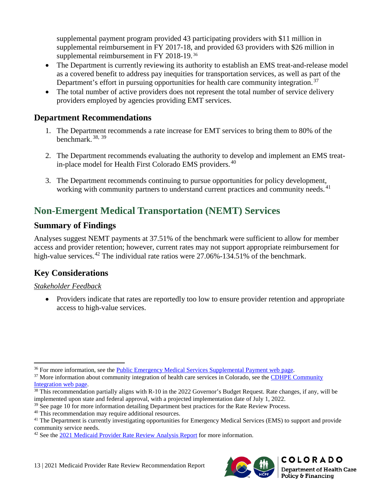supplemental payment program provided 43 participating providers with \$11 million in supplemental reimbursement in FY 2017-18, and provided 63 providers with \$26 million in supplemental reimbursement in FY 2018-19.<sup>[36](#page-14-5)</sup>

- The Department is currently reviewing its authority to establish an EMS treat-and-release model as a covered benefit to address pay inequities for transportation services, as well as part of the Department's effort in pursuing opportunities for health care community integration.<sup>[37](#page-14-6)</sup>
- The total number of active providers does not represent the total number of service delivery providers employed by agencies providing EMT services.

#### <span id="page-14-0"></span>**Department Recommendations**

- 1. The Department recommends a rate increase for EMT services to bring them to 80% of the benchmark. [38,](#page-14-7) [39](#page-14-8)
- 2. The Department recommends evaluating the authority to develop and implement an EMS treatin-place model for Health First Colorado EMS providers. [40](#page-14-9)
- 3. The Department recommends continuing to pursue opportunities for policy development, working with community partners to understand current practices and community needs.<sup>[41](#page-14-10)</sup>

# <span id="page-14-1"></span>**Non-Emergent Medical Transportation (NEMT) Services**

### <span id="page-14-2"></span>**Summary of Findings**

Analyses suggest NEMT payments at 37.51% of the benchmark were sufficient to allow for member access and provider retention; however, current rates may not support appropriate reimbursement for high-value services.<sup>42</sup> The individual rate ratios were 27.06%-134.51% of the benchmark.

# <span id="page-14-3"></span>**Key Considerations**

#### <span id="page-14-4"></span>*Stakeholder Feedback*

• Providers indicate that rates are reportedly too low to ensure provider retention and appropriate access to high-value services.



<span id="page-14-5"></span> $\overline{a}$ <sup>36</sup> For more information, see th[e Public Emergency Medical Services Supplemental Payment web page.](https://hcpf.colorado.gov/public-ems-supplemental-payment)

<span id="page-14-6"></span><sup>&</sup>lt;sup>37</sup> More information about community integration of health care services in Colorado, see the CDHPE Community [Integration web page.](https://cdphe.colorado.gov/community-integrated-health-care-services-and-community-assistance-referral-and-education-services)

<span id="page-14-7"></span><sup>&</sup>lt;sup>38</sup> This recommendation partially aligns with R-10 in the 2022 Governor's Budget Request. Rate changes, if any, will be implemented upon state and federal approval, with a projected implementation date of July 1, 2022.

<span id="page-14-8"></span><sup>&</sup>lt;sup>39</sup> See page 10 for more information detailing Department best practices for the Rate Review Process.

<span id="page-14-9"></span><sup>40</sup> This recommendation may require additional resources.

<span id="page-14-10"></span><sup>&</sup>lt;sup>41</sup> The Department is currently investigating opportunities for Emergency Medical Services (EMS) to support and provide community service needs.

<sup>&</sup>lt;sup>42</sup> See th[e 2021 Medicaid Provider Rate Review Analysis Report](https://hcpf.colorado.gov/sites/hcpf/files/2021MPRRAR_websiteversion_mainreport_June2021.pdf) for more information.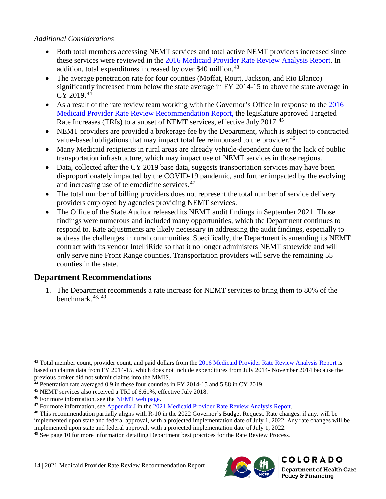#### <span id="page-15-0"></span>*Additional Considerations*

- Both total members accessing NEMT services and total active NEMT providers increased since these services were reviewed in the [2016 Medicaid Provider Rate Review Analysis Report.](https://hcpf.colorado.gov/sites/hcpf/files/2016%20Medicaid%20Provider%20Rate%20Review%20Analysis%20Report_0.pdf) In addition, total expenditures increased by over \$40 million.<sup>[43](#page-15-2)</sup>
- The average penetration rate for four counties (Moffat, Routt, Jackson, and Rio Blanco) significantly increased from below the state average in FY 2014-15 to above the state average in CY 2019.[44](#page-15-3)
- As a result of the rate review team working with the Governor's Office in response to the 2016 Medicaid [Provider Rate Review Recommendation Report,](https://hcpf.colorado.gov/sites/hcpf/files/2016%20Medicaid%20Provider%20Rate%20Review%20Analysis%20Report_0.pdf) the legislature approved Targeted Rate Increases (TRIs) to a subset of NEMT services, effective July 2017.<sup>[45](#page-15-4)</sup>
- NEMT providers are provided a brokerage fee by the Department, which is subject to contracted value-based obligations that may impact total fee reimbursed to the provider.<sup>[46](#page-15-5)</sup>
- Many Medicaid recipients in rural areas are already vehicle-dependent due to the lack of public transportation infrastructure, which may impact use of NEMT services in those regions.
- Data, collected after the CY 2019 base data, suggests transportation services may have been disproportionately impacted by the COVID-19 pandemic, and further impacted by the evolving and increasing use of telemedicine services. [47](#page-15-6)
- The total number of billing providers does not represent the total number of service delivery providers employed by agencies providing NEMT services.
- The Office of the State Auditor released its NEMT audit findings in September 2021. Those findings were numerous and included many opportunities, which the Department continues to respond to. Rate adjustments are likely necessary in addressing the audit findings, especially to address the challenges in rural communities. Specifically, the Department is amending its NEMT contract with its vendor IntelliRide so that it no longer administers NEMT statewide and will only serve nine Front Range counties. Transportation providers will serve the remaining 55 counties in the state.

#### <span id="page-15-1"></span>**Department Recommendations**

1. The Department recommends a rate increase for NEMT services to bring them to 80% of the benchmark. [48,](#page-15-7) [49](#page-15-8)



<span id="page-15-2"></span><sup>43</sup> Total member count, provider count, and paid dollars from th[e 2016 Medicaid Provider Rate Review Analysis Report](https://hcpf.colorado.gov/sites/hcpf/files/2016%20Medicaid%20Provider%20Rate%20Review%20Analysis%20Report_0.pdf) is based on claims data from FY 2014-15, which does not include expenditures from July 2014- November 2014 because the previous broker did not submit claims into the MMIS.

<span id="page-15-3"></span> $44$  Penetration rate averaged 0.9 in these four counties in FY 2014-15 and 5.88 in CY 2019.

<span id="page-15-4"></span><sup>45</sup> NEMT services also received a TRI of 6.61%, effective July 2018.

<span id="page-15-5"></span><sup>46</sup> For more information, see th[e NEMT web page.](https://hcpf.colorado.gov/non-emergent-medical-transportation)

<span id="page-15-6"></span><sup>&</sup>lt;sup>47</sup> For more information, see [Appendix J](https://hcpf.colorado.gov/sites/hcpf/files/AppendixJ_2021MPRRAR_FinalDraft_14June2021.pdf) in the [2021 Medicaid Provider Rate Review Analysis Report.](https://hcpf.colorado.gov/sites/hcpf/files/2021MPRRAR_websiteversion_mainreport_June2021.pdf)

<span id="page-15-7"></span> $48$  This recommendation partially aligns with R-10 in the 2022 Governor's Budget Request. Rate changes, if any, will be implemented upon state and federal approval, with a projected implementation date of July 1, 2022. Any rate changes will be implemented upon state and federal approval, with a projected implementation date of July 1, 2022.

<span id="page-15-8"></span> $49$  See page 10 for more information detailing Department best practices for the Rate Review Process.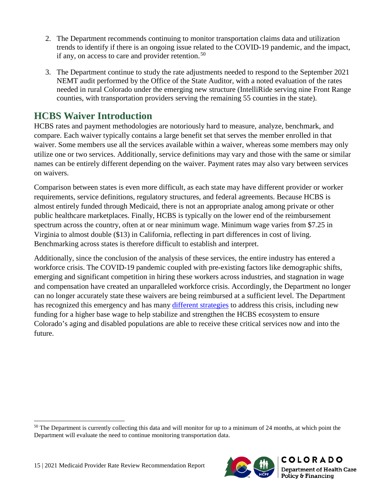- 2. The Department recommends continuing to monitor transportation claims data and utilization trends to identify if there is an ongoing issue related to the COVID-19 pandemic, and the impact, if any, on access to care and provider retention.<sup>[50](#page-16-1)</sup>
- 3. The Department continue to study the rate adjustments needed to respond to the September 2021 NEMT audit performed by the Office of the State Auditor, with a noted evaluation of the rates needed in rural Colorado under the emerging new structure (IntelliRide serving nine Front Range counties, with transportation providers serving the remaining 55 counties in the state).

# <span id="page-16-0"></span>**HCBS Waiver Introduction**

HCBS rates and payment methodologies are notoriously hard to measure, analyze, benchmark, and compare. Each waiver typically contains a large benefit set that serves the member enrolled in that waiver. Some members use all the services available within a waiver, whereas some members may only utilize one or two services. Additionally, service definitions may vary and those with the same or similar names can be entirely different depending on the waiver. Payment rates may also vary between services on waivers.

Comparison between states is even more difficult, as each state may have different provider or worker requirements, service definitions, regulatory structures, and federal agreements. Because HCBS is almost entirely funded through Medicaid, there is not an appropriate analog among private or other public healthcare marketplaces. Finally, HCBS is typically on the lower end of the reimbursement spectrum across the country, often at or near minimum wage. Minimum wage varies from \$7.25 in Virginia to almost double (\$13) in California, reflecting in part differences in cost of living. Benchmarking across states is therefore difficult to establish and interpret.

Additionally, since the conclusion of the analysis of these services, the entire industry has entered a workforce crisis. The COVID-19 pandemic coupled with pre-existing factors like demographic shifts, emerging and significant competition in hiring these workers across industries, and stagnation in wage and compensation have created an unparalleled workforce crisis. Accordingly, the Department no longer can no longer accurately state these waivers are being reimbursed at a sufficient level. The Department has recognized this emergency and has many [different strategies](https://hcpf.colorado.gov/direct-care-workforce-collaborative) to address this crisis, including new funding for a higher base wage to help stabilize and strengthen the HCBS ecosystem to ensure Colorado's aging and disabled populations are able to receive these critical services now and into the future.



<span id="page-16-1"></span> $50$  The Department is currently collecting this data and will monitor for up to a minimum of 24 months, at which point the Department will evaluate the need to continue monitoring transportation data.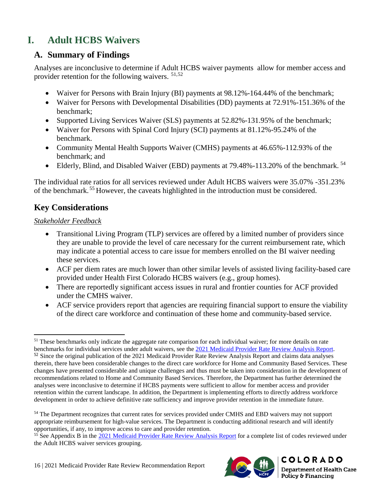# **I. Adult HCBS Waivers**

# **A. Summary of Findings**

Analyses are inconclusive to determine if Adult HCBS waiver payments allow for member access and provider retention for the following waivers. [51,](#page-17-2)[52](#page-17-3)

- [•](#page-17-4) Waiver for Persons with Brain Injury (BI) payments at 98.12%-164.44% of the benchmark;
- Waiver for Persons with Developmental Disabilities (DD) payments at 72.91%-151.36% of the benchmark;
- Supported Living Services Waiver (SLS) payments at 52.82%-131.95% of the benchmark;
- Waiver for Persons with Spinal Cord Injury (SCI) payments at 81.12%-95.24% of the benchmark.
- Community Mental Health Supports Waiver (CMHS) payments at 46.65%-112.93% of the benchmark; and
- Elderly, Blind, and Disabled Waiver (EBD) payments at 79.48%-113.20% of the benchmark.<sup>[54](#page-17-5)</sup>

The individual rate ratios for all services reviewed under Adult HCBS waivers were 35.07% -351.23% of the benchmark.<sup>[55](#page-17-6)</sup> However, the caveats highlighted in the introduction must be considered.

# <span id="page-17-0"></span>**Key Considerations**

#### <span id="page-17-1"></span>*Stakeholder Feedback*

- Transitional Living Program (TLP) services are offered by a limited number of providers since they are unable to provide the level of care necessary for the current reimbursement rate, which may indicate a potential access to care issue for members enrolled on the BI waiver needing these services.
- ACF per diem rates are much lower than other similar levels of assisted living facility-based care provided under Health First Colorado HCBS waivers (e.g., group homes).
- There are reportedly significant access issues in rural and frontier counties for ACF provided under the CMHS waiver.
- ACF service providers report that agencies are requiring financial support to ensure the viability of the direct care workforce and continuation of these home and community-based service.



<span id="page-17-3"></span><span id="page-17-2"></span> $<sup>51</sup>$  These benchmarks only indicate the aggregate rate comparison for each individual waiver; for more details on rate</sup> benchmarks for individual services under adult waivers, see the [2021 Medicaid Provider Rate Review Analysis Report.](https://hcpf.colorado.gov/sites/hcpf/files/2021MPRRAR_websiteversion_mainreport_June2021.pdf) <sup>52</sup> Since the original publication of the 2021 Medicaid Provider Rate Review Analysis Report and claims data analyses therein, there have been considerable changes to the direct care workforce for Home and Community Based Services. These changes have presented considerable and unique challenges and thus must be taken into consideration in the development of recommendations related to Home and Community Based Services. Therefore, the Department has further determined the analyses were inconclusive to determine if HCBS payments were sufficient to allow for member access and provider retention within the current landscape. In addition, the Department is implementing efforts to directly address workforce development in order to achieve definitive rate sufficiency and improve provider retention in the immediate future.

<span id="page-17-5"></span><span id="page-17-4"></span><sup>&</sup>lt;sup>54</sup> The Department recognizes that current rates for services provided under CMHS and EBD waivers may not support appropriate reimbursement for high-value services. The Department is conducting additional research and will identify opportunities, if any, to improve access to care and provider retention.

<span id="page-17-6"></span> $55$  See Appendix B in the [2021 Medicaid Provider Rate Review Analysis Report](https://hcpf.colorado.gov/sites/hcpf/files/2021MPRRAR_websiteversion_mainreport_June2021.pdf) for a complete list of codes reviewed under the Adult HCBS waiver services grouping.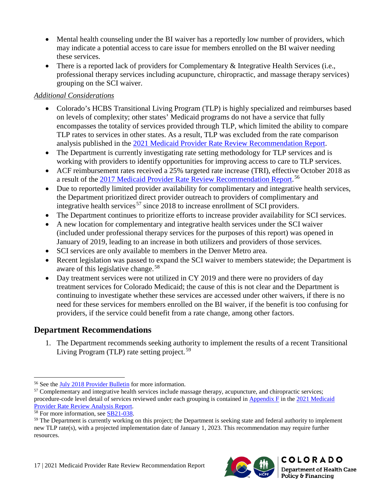- Mental health counseling under the BI waiver has a reportedly low number of providers, which may indicate a potential access to care issue for members enrolled on the BI waiver needing these services.
- There is a reported lack of providers for Complementary & Integrative Health Services (i.e., professional therapy services including acupuncture, chiropractic, and massage therapy services) grouping on the SCI waiver.

#### <span id="page-18-0"></span>*Additional Considerations*

- Colorado's HCBS Transitional Living Program (TLP) is highly specialized and reimburses based on levels of complexity; other states' Medicaid programs do not have a service that fully encompasses the totality of services provided through TLP, which limited the ability to compare TLP rates to services in other states. As a result, TLP was excluded from the rate comparison analysis published in the [2021 Medicaid Provider Rate Review Recommendation Report.](https://hcpf.colorado.gov/sites/hcpf/files/2021MPRRAR_websiteversion_mainreport_June2021.pdf)
- The Department is currently investigating rate setting methodology for TLP services and is working with providers to identify opportunities for improving access to care to TLP services.
- ACF reimbursement rates received a 25% targeted rate increase (TRI), effective October 2018 as a result of the [2017 Medicaid Provider Rate Review Recommendation Report.](https://hcpf.colorado.gov/sites/hcpf/files/2017%20Medicaid%20Provider%20Rate%20Review%20Analysis%20Report%20-%20HCBS%20Waivers_0.pdf)<sup>[56](#page-18-2)</sup>
- Due to reportedly limited provider availability for complimentary and integrative health services, the Department prioritized direct provider outreach to providers of complimentary and integrative health services<sup>[57](#page-18-3)</sup> since 2018 to increase enrollment of SCI providers.
- The Department continues to prioritize efforts to increase provider availability for SCI services.
- A new location for complementary and integrative health services under the SCI waiver (included under professional therapy services for the purposes of this report) was opened in January of 2019, leading to an increase in both utilizers and providers of those services.
- SCI services are only available to members in the Denver Metro area.
- Recent legislation was passed to expand the SCI waiver to members statewide; the Department is aware of this legislative change. [58](#page-18-4)
- Day treatment services were not utilized in CY 2019 and there were no providers of day treatment services for Colorado Medicaid; the cause of this is not clear and the Department is continuing to investigate whether these services are accessed under other waivers, if there is no need for these services for members enrolled on the BI waiver, if the benefit is too confusing for providers, if the service could benefit from a rate change, among other factors.

#### <span id="page-18-1"></span>**Department Recommendations**

1. The Department recommends seeking authority to implement the results of a recent Transitional Living Program (TLP) rate setting project.<sup>[59](#page-18-5)</sup>



<span id="page-18-3"></span><span id="page-18-2"></span><sup>&</sup>lt;sup>56</sup> See the <u>July 2018 Provider Bulletin</u> [f](https://hcpf.colorado.gov/sites/hcpf/files/Bulletin_0718_B1800418.pdf)or more information.<br><sup>57</sup> Complementary and integrative health services include massage therapy, acupuncture, and chiropractic services; procedure-code level detail of services reviewed under each grouping is contained i[n Appendix F](https://hcpf.colorado.gov/sites/hcpf/files/AppendixF_2021MPRRAR_FinalDraft_14June2021.pdf) in the [2021 Medicaid](https://hcpf.colorado.gov/sites/hcpf/files/2021MPRRAR_websiteversion_mainreport_June2021.pdf)  [Provider Rate Review Analysis Report.](https://hcpf.colorado.gov/sites/hcpf/files/2021MPRRAR_websiteversion_mainreport_June2021.pdf) 58 For more information, see [SB21-038.](https://leg.colorado.gov/bills/sb21-038)

<span id="page-18-5"></span><span id="page-18-4"></span><sup>&</sup>lt;sup>59</sup> The Department is currently working on this project; the Department is seeking state and federal authority to implement new TLP rate(s), with a projected implementation date of January 1, 2023. This recommendation may require further resources.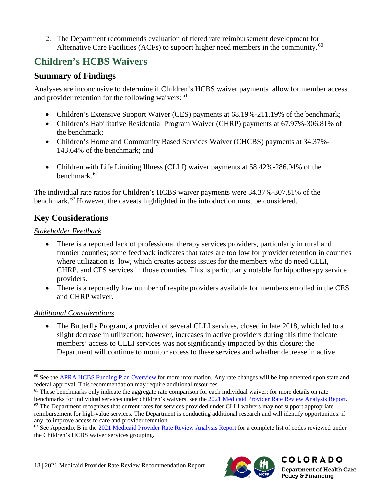2. The Department recommends evaluation of tiered rate reimbursement development for Alternative Care Facilities (ACFs) to support higher need members in the community.  $^{60}$  $^{60}$  $^{60}$ 

# <span id="page-19-0"></span>**Children's HCBS Waivers**

### <span id="page-19-1"></span>**Summary of Findings**

Analyses are inconclusive to determine if Children's HCBS waiver payments allow for member access and provider retention for the following waivers: <sup>[61](#page-19-6)</sup>

- Children's Extensive Support Waiver (CES) payments at 68.19%-211.19% of the benchmark;
- Children's Habilitative Residential Program Waiver (CHRP) payments at 67.97%-306.81% of the benchmark;
- Children's Home and Community Based Services Waiver (CHCBS) payments at 34.37%- 143.64% of the benchmark; and
- Children with Life Limiting Illness (CLLI) waiver payments at 58.42%-286.04% of the benchmark. [62](#page-19-7)

The individual rate ratios for Children's HCBS waiver payments were 34.37%-307.81% of the benchmark. [63](#page-19-8) However, the caveats highlighted in the introduction must be considered.

# <span id="page-19-2"></span>**Key Considerations**

#### <span id="page-19-3"></span>*Stakeholder Feedback*

- There is a reported lack of professional therapy services providers, particularly in rural and frontier counties; some feedback indicates that rates are too low for provider retention in counties where utilization is low, which creates access issues for the members who do need CLLI, CHRP, and CES services in those counties. This is particularly notable for hippotherapy service providers.
- There is a reportedly low number of respite providers available for members enrolled in the CES and CHRP waiver.

#### <span id="page-19-4"></span>*Additional Considerations*

• The Butterfly Program, a provider of several CLLI services, closed in late 2018, which led to a slight decrease in utilization; however, increases in active providers during this time indicate members' access to CLLI services was not significantly impacted by this closure; the Department will continue to monitor access to these services and whether decrease in active



<span id="page-19-5"></span><sup>60</sup> See th[e APRA HCBS Funding Plan Overview](https://hcpf.colorado.gov/arpa) for more information. Any rate changes will be implemented upon state and federal approval. This recommendation may require additional resources.

<span id="page-19-6"></span> $<sup>61</sup>$  These benchmarks only indicate the aggregate rate comparison for each individual waiver; for more details on rate</sup> benchmarks for individual services under children's waivers, see the [2021 Medicaid Provider Rate Review Analysis Report.](https://hcpf.colorado.gov/sites/hcpf/files/2021MPRRAR_websiteversion_mainreport_June2021.pdf)

<span id="page-19-7"></span> $62$  The Department recognizes that current rates for services provided under CLLI waivers may not support appropriate reimbursement for high-value services. The Department is conducting additional research and will identify opportunities, if any, to improve access to care and provider retention.

<span id="page-19-8"></span> $63$  See Appendix B in the [2021 Medicaid Provider Rate Review Analysis Report](https://hcpf.colorado.gov/sites/hcpf/files/2021MPRRAR_websiteversion_mainreport_June2021.pdf) for a complete list of codes reviewed under the Children's HCBS waiver services grouping.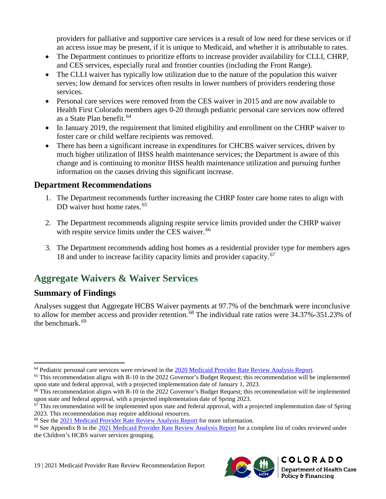providers for palliative and supportive care services is a result of low need for these services or if an access issue may be present, if it is unique to Medicaid, and whether it is attributable to rates.

- The Department continues to prioritize efforts to increase provider availability for CLLI, CHRP, and CES services, especially rural and frontier counties (including the Front Range).
- The CLLI waiver has typically low utilization due to the nature of the population this waiver serves; low demand for services often results in lower numbers of providers rendering those services.
- Personal care services were removed from the CES waiver in 2015 and are now available to Health First Colorado members ages 0-20 through pediatric personal care services now offered as a State Plan benefit. [64](#page-20-3)
- In January 2019, the requirement that limited eligibility and enrollment on the CHRP waiver to foster care or child welfare recipients was removed.
- There has been a significant increase in expenditures for CHCBS waiver services, driven by much higher utilization of IHSS health maintenance services; the Department is aware of this change and is continuing to monitor IHSS health maintenance utilization and pursuing further information on the causes driving this significant increase.

#### <span id="page-20-0"></span>**Department Recommendations**

- 1. The Department recommends further increasing the CHRP foster care home rates to align with DD waiver host home rates. [65](#page-20-4)
- 2. The Department recommends aligning respite service limits provided under the CHRP waiver with respite service limits under the CES waiver.<sup>[66](#page-20-5)</sup>
- 3. The Department recommends adding host homes as a residential provider type for members ages 18 and under to increase facility capacity limits and provider capacity. [67](#page-20-6)

# **Aggregate Waivers & Waiver Services**

# <span id="page-20-2"></span>**Summary of Findings**

Analyses suggest that Aggregate HCBS Waiver payments at 97.7% of the benchmark were inconclusive to allow for member access and provider retention. [68](#page-20-7) The individual rate ratios were 34.37%-351.23% of the benchmark. [69](#page-20-8)

<span id="page-20-1"></span>

<span id="page-20-3"></span> $\overline{a}$ <sup>64</sup> Pediatric personal care services were reviewed in the [2020 Medicaid Provider Rate Review Analysis Report.](https://hcpf.colorado.gov/sites/hcpf/files/2020%20Medicaid%20Provider%20Rate%20Review%20Analysis%20Report.pdf)

<span id="page-20-4"></span> $65$  This recommendation aligns with R-10 in the 2022 Governor's Budget Request; this recommendation will be implemented upon state and federal approval, with a projected implementation date of January 1, 2023.

<span id="page-20-5"></span><sup>&</sup>lt;sup>66</sup> This recommendation aligns with R-10 in the 2022 Governor's Budget Request; this recommendation will be implemented upon state and federal approval, with a projected implementation date of Spring 2023.

<span id="page-20-6"></span> $67$  This recommendation will be implemented upon state and federal approval, with a projected implementation date of Spring 2023. This recommendation may require additional resources.

<span id="page-20-7"></span><sup>68</sup> See the 2021 Medicaid Provider Rate Review Analysis Report for more information.

<span id="page-20-8"></span> $69$  See Appendix B in the [2021 Medicaid Provider Rate Review Analysis Report](https://hcpf.colorado.gov/sites/hcpf/files/2021MPRRAR_websiteversion_mainreport_June2021.pdf) for a complete list of codes reviewed under the Children's HCBS waiver services grouping.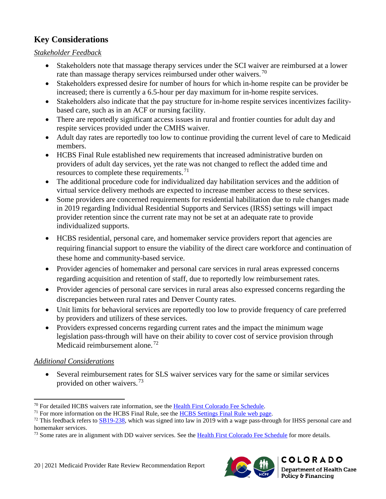# <span id="page-21-0"></span>**Key Considerations**

#### <span id="page-21-1"></span>*Stakeholder Feedback*

- Stakeholders note that massage therapy services under the SCI waiver are reimbursed at a lower rate than massage therapy services reimbursed under other waivers.<sup>[70](#page-21-3)</sup>
- Stakeholders expressed desire for number of hours for which in-home respite can be provider be increased; there is currently a 6.5-hour per day maximum for in-home respite services.
- Stakeholders also indicate that the pay structure for in-home respite services incentivizes facilitybased care, such as in an ACF or nursing facility.
- There are reportedly significant access issues in rural and frontier counties for adult day and respite services provided under the CMHS waiver.
- Adult day rates are reportedly too low to continue providing the current level of care to Medicaid members.
- HCBS Final Rule established new requirements that increased administrative burden on providers of adult day services, yet the rate was not changed to reflect the added time and resources to complete these requirements.<sup>[71](#page-21-4)</sup>
- The additional procedure code for individualized day habilitation services and the addition of virtual service delivery methods are expected to increase member access to these services.
- Some providers are concerned requirements for residential habilitation due to rule changes made in 2019 regarding Individual Residential Supports and Services (IRSS) settings will impact provider retention since the current rate may not be set at an adequate rate to provide individualized supports.
- HCBS residential, personal care, and homemaker service providers report that agencies are requiring financial support to ensure the viability of the direct care workforce and continuation of these home and community-based service.
- Provider agencies of homemaker and personal care services in rural areas expressed concerns regarding acquisition and retention of staff, due to reportedly low reimbursement rates.
- Provider agencies of personal care services in rural areas also expressed concerns regarding the discrepancies between rural rates and Denver County rates.
- Unit limits for behavioral services are reportedly too low to provide frequency of care preferred by providers and utilizers of these services.
- Providers expressed concerns regarding current rates and the impact the minimum wage legislation pass-through will have on their ability to cover cost of service provision through Medicaid reimbursement alone.<sup>[72](#page-21-5)</sup>

#### <span id="page-21-2"></span>*Additional Considerations*

• Several reimbursement rates for SLS waiver services vary for the same or similar services provided on other waivers.<sup>[73](#page-21-6)</sup>



<span id="page-21-3"></span><sup>70</sup> For detailed HCBS waivers rate information, see the [Health First Colorado Fee Schedule.](https://hcpf.colorado.gov/provider-rates-fee-schedule)

<span id="page-21-4"></span> $71$  For more information on the HCBS Final Rule, see the [HCBS Settings Final Rule web page.](https://hcpf.colorado.gov/home-and-community-based-services-settings-final-rule)

<span id="page-21-5"></span> $72$  This feedback refers to [SB19-238,](https://leg.colorado.gov/sites/default/files/2019a_238_signed.pdf) which was signed into law in 2019 with a wage pass-through for IHSS personal care and homemaker services.

<span id="page-21-6"></span><sup>&</sup>lt;sup>73</sup> Some rates are in alignment with DD waiver services. See the [Health First Colorado Fee Schedule](https://hcpf.colorado.gov/provider-rates-fee-schedule) for more details.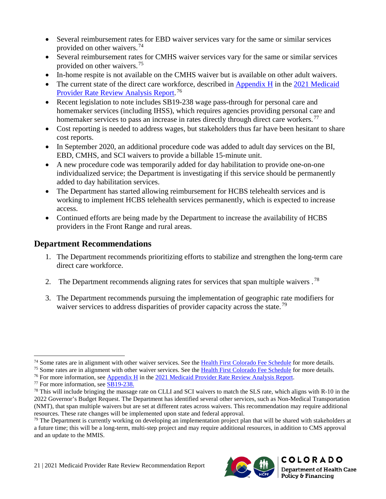- Several reimbursement rates for EBD waiver services vary for the same or similar services provided on other waivers.[74](#page-22-1)
- Several reimbursement rates for CMHS waiver services vary for the same or similar services provided on other waivers.[75](#page-22-2)
- In-home respite is not available on the CMHS waiver but is available on other adult waivers.
- The current state of the direct care workforce, described in [Appendix H](https://hcpf.colorado.gov/sites/hcpf/files/AppendixH_2021MPRRAR_FinalDraft_14June2021.pdf) in the 2021 Medicaid [Provider Rate Review Analysis Report.](https://hcpf.colorado.gov/sites/hcpf/files/2021MPRRAR_websiteversion_mainreport_June2021.pdf)<sup>[76](#page-22-3)</sup>
- Recent legislation to note includes SB19-238 wage pass-through for personal care and homemaker services (including IHSS), which requires agencies providing personal care and homemaker services to pass an increase in rates directly through direct care workers.<sup>[77](#page-22-4)</sup>
- Cost reporting is needed to address wages, but stakeholders thus far have been hesitant to share cost reports.
- In September 2020, an additional procedure code was added to adult day services on the BI, EBD, CMHS, and SCI waivers to provide a billable 15-minute unit.
- A new procedure code was temporarily added for day habilitation to provide one-on-one individualized service; the Department is investigating if this service should be permanently added to day habilitation services.
- The Department has started allowing reimbursement for HCBS telehealth services and is working to implement HCBS telehealth services permanently, which is expected to increase access.
- Continued efforts are being made by the Department to increase the availability of HCBS providers in the Front Range and rural areas.

### <span id="page-22-0"></span>**Department Recommendations**

- 1. The Department recommends prioritizing efforts to stabilize and strengthen the long-term care direct care workforce.
- 2. The Department recommends aligning rates for services that span multiple waivers.<sup>[78](#page-22-5)</sup>
- 3. The Department recommends pursuing the implementation of geographic rate modifiers for waiver services to address disparities of provider capacity across the state.<sup>[79](#page-22-6)</sup>



<span id="page-22-1"></span><sup>74</sup> Some rates are in alignment with other waiver services. See the [Health First Colorado Fee Schedule](https://hcpf.colorado.gov/provider-rates-fee-schedule) for more details.

<span id="page-22-2"></span><sup>&</sup>lt;sup>75</sup> Some rates are in alignment with other waiver services. See the [Health First Colorado Fee Schedule](https://hcpf.colorado.gov/provider-rates-fee-schedule) for more details.

<span id="page-22-3"></span><sup>&</sup>lt;sup>76</sup> For more information, see [Appendix H](https://hcpf.colorado.gov/sites/hcpf/files/AppendixH_2021MPRRAR_FinalDraft_14June2021.pdf) in the [2021 Medicaid Provider Rate Review Analysis Report.](https://hcpf.colorado.gov/sites/hcpf/files/2021MPRRAR_websiteversion_mainreport_June2021.pdf)

<span id="page-22-4"></span><sup>77</sup> For more information, see [SB19-238.](https://leg.colorado.gov/sites/default/files/2019a_238_signed.pdf)

<span id="page-22-5"></span> $78$  This will include bringing the massage rate on CLLI and SCI waivers to match the SLS rate, which aligns with R-10 in the 2022 Governor's Budget Request. The Department has identified several other services, such as Non-Medical Transportation (NMT), that span multiple waivers but are set at different rates across waivers. This recommendation may require additional resources. These rate changes will be implemented upon state and federal approval.

<span id="page-22-6"></span> $\frac{79}{2}$  The Department is currently working on developing an implementation project plan that will be shared with stakeholders at a future time; this will be a long-term, multi-step project and may require additional resources, in addition to CMS approval and an update to the MMIS.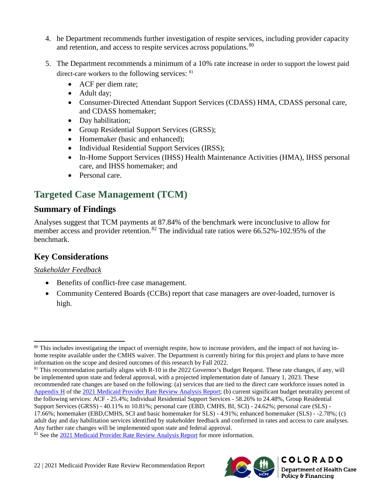- 4. he Department recommends further investigation of respite services, including provider capacity and retention, and access to respite services across populations.<sup>[80](#page-23-4)</sup>
- 5. The Department recommends a minimum of a 10% rate increase in order to support the lowest paid direct-care workers to the following services: <sup>[81](#page-23-5)</sup>
	- ACF per diem rate;
	- Adult day;
	- Consumer-Directed Attendant Support Services (CDASS) HMA, CDASS personal care, and CDASS homemaker;
	- Day habilitation;
	- Group Residential Support Services (GRSS);
	- Homemaker (basic and enhanced);
	- Individual Residential Support Services (IRSS);
	- In-Home Support Services (IHSS) Health Maintenance Activities (HMA), IHSS personal care, and IHSS homemaker; and
	- Personal care.

# <span id="page-23-0"></span>**Targeted Case Management (TCM)**

### <span id="page-23-1"></span>**Summary of Findings**

Analyses suggest that TCM payments at 87.84% of the benchmark were inconclusive to allow for member access and provider retention.<sup>[82](#page-23-6)</sup> The individual rate ratios were 66.52%-102.95% of the benchmark.

### <span id="page-23-2"></span>**Key Considerations**

#### <span id="page-23-3"></span>*Stakeholder Feedback*

- Benefits of conflict-free case management.
- Community Centered Boards (CCBs) report that case managers are over-loaded, turnover is high.



<span id="page-23-4"></span> $\overline{a}$ <sup>80</sup> This includes investigating the impact of overnight respite, how to increase providers, and the impact of not having inhome respite available under the CMHS waiver. The Department is currently hiring for this project and plans to have more information on the scope and desired outcomes of this research by Fall 2022.

<span id="page-23-5"></span> $81$  This recommendation partially aligns with R-10 in the 2022 Governor's Budget Request. These rate changes, if any, will be implemented upon state and federal approval, with a projected implementation date of January 1, 2023. These recommended rate changes are based on the following: (a) services that are tied to the direct care workforce issues noted in [Appendix H](https://hcpf.colorado.gov/sites/hcpf/files/AppendixH_2021MPRRAR_FinalDraft_14June2021.pdf) of the [2021 Medicaid Provider Rate Review Analysis Report;](https://hcpf.colorado.gov/sites/hcpf/files/2021MPRRAR_websiteversion_mainreport_June2021.pdf) (b) current significant budget neutrality percent of the following services: ACF - 25.4%; Individual Residential Support Services - 58.26% to 24.48%, Group Residential Support Services (GRSS) - 40.11% to 10.81%; personal care (EBD, CMHS, BI, SCI) - 24.62%; personal care (SLS) - 17.66%; homemaker (EBD,CMHS, SCI and basic homemaker for SLS) - 4.91%; enhanced homemaker (SLS) - -2.78%; (c) adult day and day habilitation services identified by stakeholder feedback and confirmed in rates and access to care analyses. Any further rate changes will be implemented upon state and federal approval.

<span id="page-23-6"></span><sup>&</sup>lt;sup>82</sup> See the [2021 Medicaid Provider Rate Review Analysis Report](https://hcpf.colorado.gov/sites/hcpf/files/2021MPRRAR_websiteversion_mainreport_June2021.pdf) for more information.